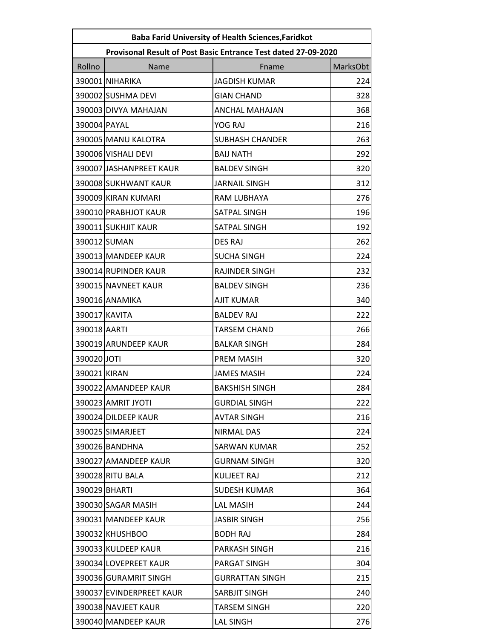| <b>Baba Farid University of Health Sciences, Faridkot</b> |                                                                |                        |          |  |
|-----------------------------------------------------------|----------------------------------------------------------------|------------------------|----------|--|
|                                                           | Provisonal Result of Post Basic Entrance Test dated 27-09-2020 |                        |          |  |
| Rollno                                                    | Name                                                           | Fname                  | MarksObt |  |
|                                                           | 390001 NIHARIKA                                                | <b>JAGDISH KUMAR</b>   | 224      |  |
|                                                           | 390002 SUSHMA DEVI                                             | <b>GIAN CHAND</b>      | 328      |  |
|                                                           | 390003 DIVYA MAHAJAN                                           | <b>ANCHAL MAHAJAN</b>  | 368      |  |
| 390004 PAYAL                                              |                                                                | YOG RAJ                | 216      |  |
|                                                           | 390005 MANU KALOTRA                                            | <b>SUBHASH CHANDER</b> | 263      |  |
|                                                           | 390006 VISHALI DEVI                                            | <b>BAIJ NATH</b>       | 292      |  |
|                                                           | 390007 JASHANPREET KAUR                                        | <b>BALDEV SINGH</b>    | 320      |  |
|                                                           | 390008 SUKHWANT KAUR                                           | <b>JARNAIL SINGH</b>   | 312      |  |
|                                                           | 390009 KIRAN KUMARI                                            | RAM LUBHAYA            | 276      |  |
|                                                           | 390010 PRABHJOT KAUR                                           | SATPAL SINGH           | 196      |  |
|                                                           | 390011 SUKHJIT KAUR                                            | SATPAL SINGH           | 192      |  |
|                                                           | 390012 SUMAN                                                   | <b>DES RAJ</b>         | 262      |  |
|                                                           | 390013 MANDEEP KAUR                                            | <b>SUCHA SINGH</b>     | 224      |  |
|                                                           | 390014 RUPINDER KAUR                                           | RAJINDER SINGH         | 232      |  |
|                                                           | 390015 NAVNEET KAUR                                            | <b>BALDEV SINGH</b>    | 236      |  |
|                                                           | 390016 ANAMIKA                                                 | <b>AJIT KUMAR</b>      | 340      |  |
|                                                           | 390017 KAVITA                                                  | <b>BALDEV RAJ</b>      | 222      |  |
| 390018 AARTI                                              |                                                                | <b>TARSEM CHAND</b>    | 266      |  |
|                                                           | 390019 ARUNDEEP KAUR                                           | <b>BALKAR SINGH</b>    | 284      |  |
| 390020 JOTI                                               |                                                                | PREM MASIH             | 320      |  |
| 390021 KIRAN                                              |                                                                | <b>JAMES MASIH</b>     | 224      |  |
|                                                           | 390022 AMANDEEP KAUR                                           | <b>BAKSHISH SINGH</b>  | 284      |  |
|                                                           | 390023 AMRIT JYOTI                                             | GURDIAL SINGH          | 222      |  |
|                                                           | 390024 DILDEEP KAUR                                            | <b>AVTAR SINGH</b>     | 216      |  |
|                                                           | 390025 SIMARJEET                                               | <b>NIRMAL DAS</b>      | 224      |  |
|                                                           | 390026 BANDHNA                                                 | SARWAN KUMAR           | 252      |  |
|                                                           | 390027 AMANDEEP KAUR                                           | <b>GURNAM SINGH</b>    | 320      |  |
|                                                           | 390028 RITU BALA                                               | <b>KULJEET RAJ</b>     | 212      |  |
|                                                           | 390029 BHARTI                                                  | <b>SUDESH KUMAR</b>    | 364      |  |
|                                                           | 390030 SAGAR MASIH                                             | <b>LAL MASIH</b>       | 244      |  |
|                                                           | 390031 MANDEEP KAUR                                            | <b>JASBIR SINGH</b>    | 256      |  |
|                                                           | 390032 KHUSHBOO                                                | <b>BODH RAJ</b>        | 284      |  |
|                                                           | 390033 KULDEEP KAUR                                            | PARKASH SINGH          | 216      |  |
|                                                           | 390034 LOVEPREET KAUR                                          | PARGAT SINGH           | 304      |  |
|                                                           | 390036 GURAMRIT SINGH                                          | <b>GURRATTAN SINGH</b> | 215      |  |
|                                                           | 390037 EVINDERPREET KAUR                                       | SARBJIT SINGH          | 240      |  |
|                                                           | 390038 NAVJEET KAUR                                            | TARSEM SINGH           | 220      |  |
|                                                           | 390040 MANDEEP KAUR                                            | <b>LAL SINGH</b>       | 276      |  |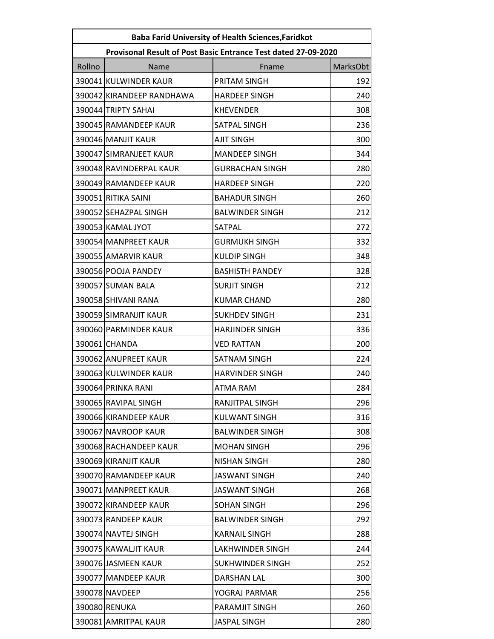| <b>Baba Farid University of Health Sciences, Faridkot</b> |                                                                |                        |          |  |
|-----------------------------------------------------------|----------------------------------------------------------------|------------------------|----------|--|
|                                                           | Provisonal Result of Post Basic Entrance Test dated 27-09-2020 |                        |          |  |
| Rollno                                                    | Name                                                           | Fname                  | MarksObt |  |
|                                                           | 390041 KULWINDER KAUR                                          | PRITAM SINGH           | 192      |  |
|                                                           | 390042 KIRANDEEP RANDHAWA                                      | <b>HARDEEP SINGH</b>   | 240      |  |
|                                                           | 390044 TRIPTY SAHAI                                            | <b>KHEVENDER</b>       | 308      |  |
|                                                           | 390045 RAMANDEEP KAUR                                          | <b>SATPAL SINGH</b>    | 236      |  |
|                                                           | 390046 MANJIT KAUR                                             | <b>AJIT SINGH</b>      | 300      |  |
|                                                           | 390047 SIMRANJEET KAUR                                         | <b>MANDEEP SINGH</b>   | 344      |  |
|                                                           | 390048 RAVINDERPAL KAUR                                        | <b>GURBACHAN SINGH</b> | 280      |  |
|                                                           | 390049 RAMANDEEP KAUR                                          | <b>HARDEEP SINGH</b>   | 220      |  |
|                                                           | 390051 RITIKA SAINI                                            | <b>BAHADUR SINGH</b>   | 260      |  |
|                                                           | 390052 SEHAZPAL SINGH                                          | <b>BALWINDER SINGH</b> | 212      |  |
|                                                           | 390053 KAMAL JYOT                                              | SATPAL                 | 272      |  |
|                                                           | 390054 MANPREET KAUR                                           | <b>GURMUKH SINGH</b>   | 332      |  |
|                                                           | 390055 AMARVIR KAUR                                            | <b>KULDIP SINGH</b>    | 348      |  |
|                                                           | 390056 POOJA PANDEY                                            | <b>BASHISTH PANDEY</b> | 328      |  |
|                                                           | 390057 SUMAN BALA                                              | <b>SURJIT SINGH</b>    | 212      |  |
|                                                           | 390058 SHIVANI RANA                                            | <b>KUMAR CHAND</b>     | 280      |  |
|                                                           | 390059 SIMRANJIT KAUR                                          | <b>SUKHDEV SINGH</b>   | 231      |  |
|                                                           | 390060 PARMINDER KAUR                                          | <b>HARJINDER SINGH</b> | 336      |  |
|                                                           | 390061 CHANDA                                                  | <b>VED RATTAN</b>      | 200      |  |
|                                                           | 390062 ANUPREET KAUR                                           | <b>SATNAM SINGH</b>    | 224      |  |
|                                                           | 390063 KULWINDER KAUR                                          | <b>HARVINDER SINGH</b> | 240      |  |
|                                                           | 390064 PRINKA RANI                                             | ATMA RAM               | 284      |  |
|                                                           | 390065 RAVIPAL SINGH                                           | RANJITPAL SINGH        | 296      |  |
|                                                           | 390066 KIRANDEEP KAUR                                          | <b>KULWANT SINGH</b>   | 316      |  |
|                                                           | 390067 NAVROOP KAUR                                            | <b>BALWINDER SINGH</b> | 308      |  |
|                                                           | 390068 RACHANDEEP KAUR                                         | <b>MOHAN SINGH</b>     | 296      |  |
|                                                           | 390069 KIRANJIT KAUR                                           | <b>NISHAN SINGH</b>    | 280      |  |
|                                                           | 390070 RAMANDEEP KAUR                                          | <b>JASWANT SINGH</b>   | 240      |  |
|                                                           | 390071 MANPREET KAUR                                           | JASWANT SINGH          | 268      |  |
|                                                           | 390072 KIRANDEEP KAUR                                          | <b>SOHAN SINGH</b>     | 296      |  |
|                                                           | 390073 RANDEEP KAUR                                            | <b>BALWINDER SINGH</b> | 292      |  |
|                                                           | 390074 NAVTEJ SINGH                                            | <b>KARNAIL SINGH</b>   | 288      |  |
|                                                           | 390075 KAWALJIT KAUR                                           | LAKHWINDER SINGH       | 244      |  |
|                                                           | 390076 JASMEEN KAUR                                            | SUKHWINDER SINGH       | 252      |  |
|                                                           | 390077 MANDEEP KAUR                                            | DARSHAN LAL            | 300      |  |
|                                                           | 390078 NAVDEEP                                                 | YOGRAJ PARMAR          | 256      |  |
|                                                           | 390080 RENUKA                                                  | PARAMJIT SINGH         | 260      |  |
|                                                           | 390081 AMRITPAL KAUR                                           | <b>JASPAL SINGH</b>    | 280      |  |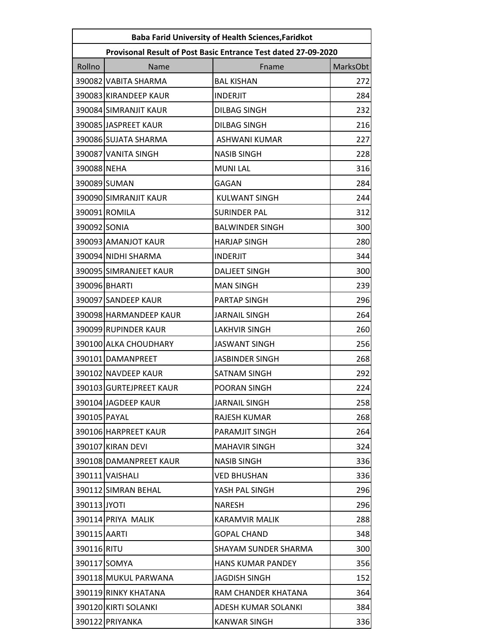| <b>Baba Farid University of Health Sciences, Faridkot</b> |                                                                |                          |          |  |
|-----------------------------------------------------------|----------------------------------------------------------------|--------------------------|----------|--|
|                                                           | Provisonal Result of Post Basic Entrance Test dated 27-09-2020 |                          |          |  |
| Rollno                                                    | Name                                                           | Fname                    | MarksObt |  |
|                                                           | 390082 VABITA SHARMA                                           | <b>BAL KISHAN</b>        | 272      |  |
|                                                           | 390083 KIRANDEEP KAUR                                          | <b>INDERJIT</b>          | 284      |  |
|                                                           | 390084 SIMRANJIT KAUR                                          | <b>DILBAG SINGH</b>      | 232      |  |
|                                                           | 390085 JASPREET KAUR                                           | <b>DILBAG SINGH</b>      | 216      |  |
|                                                           | 390086 SUJATA SHARMA                                           | <b>ASHWANI KUMAR</b>     | 227      |  |
|                                                           | 390087 VANITA SINGH                                            | <b>NASIB SINGH</b>       | 228      |  |
| 390088 NEHA                                               |                                                                | <b>MUNILAL</b>           | 316      |  |
|                                                           | 390089 SUMAN                                                   | GAGAN                    | 284      |  |
|                                                           | 390090 SIMRANJIT KAUR                                          | <b>KULWANT SINGH</b>     | 244      |  |
|                                                           | 390091 ROMILA                                                  | <b>SURINDER PAL</b>      | 312      |  |
| 390092 SONIA                                              |                                                                | <b>BALWINDER SINGH</b>   | 300      |  |
|                                                           | 390093 AMANJOT KAUR                                            | <b>HARJAP SINGH</b>      | 280      |  |
|                                                           | 390094 NIDHI SHARMA                                            | <b>INDERJIT</b>          | 344      |  |
|                                                           | 390095 SIMRANJEET KAUR                                         | <b>DALJEET SINGH</b>     | 300      |  |
|                                                           | 390096 BHARTI                                                  | <b>MAN SINGH</b>         | 239      |  |
|                                                           | 390097 SANDEEP KAUR                                            | PARTAP SINGH             | 296      |  |
|                                                           | 390098 HARMANDEEP KAUR                                         | <b>JARNAIL SINGH</b>     | 264      |  |
|                                                           | 390099 RUPINDER KAUR                                           | <b>LAKHVIR SINGH</b>     | 260      |  |
|                                                           | 390100 ALKA CHOUDHARY                                          | <b>JASWANT SINGH</b>     | 256      |  |
|                                                           | 390101 DAMANPREET                                              | <b>JASBINDER SINGH</b>   | 268      |  |
|                                                           | 390102 NAVDEEP KAUR                                            | <b>SATNAM SINGH</b>      | 292      |  |
|                                                           | 390103 GURTEJPREET KAUR                                        | POORAN SINGH             | 224      |  |
|                                                           | 390104 JAGDEEP KAUR                                            | <b>JARNAIL SINGH</b>     | 258      |  |
| 390105 PAYAL                                              |                                                                | RAJESH KUMAR             | 268      |  |
|                                                           | 390106 HARPREET KAUR                                           | PARAMJIT SINGH           | 264      |  |
|                                                           | 390107 KIRAN DEVI                                              | <b>MAHAVIR SINGH</b>     | 324      |  |
|                                                           | 390108 DAMANPREET KAUR                                         | NASIB SINGH              | 336      |  |
|                                                           | 390111 VAISHALI                                                | <b>VED BHUSHAN</b>       | 336      |  |
|                                                           | 390112 SIMRAN BEHAL                                            | YASH PAL SINGH           | 296      |  |
| 390113 JYOTI                                              |                                                                | <b>NARESH</b>            | 296      |  |
|                                                           | 390114 PRIYA MALIK                                             | KARAMVIR MALIK           | 288      |  |
| 390115 AARTI                                              |                                                                | <b>GOPAL CHAND</b>       | 348      |  |
| 390116 RITU                                               |                                                                | SHAYAM SUNDER SHARMA     | 300      |  |
|                                                           | 390117 SOMYA                                                   | <b>HANS KUMAR PANDEY</b> | 356      |  |
|                                                           | 390118 MUKUL PARWANA                                           | JAGDISH SINGH            | 152      |  |
|                                                           | 390119 RINKY KHATANA                                           | RAM CHANDER KHATANA      | 364      |  |
|                                                           | 390120 KIRTI SOLANKI                                           | ADESH KUMAR SOLANKI      | 384      |  |
|                                                           | 390122 PRIYANKA                                                | <b>KANWAR SINGH</b>      | 336      |  |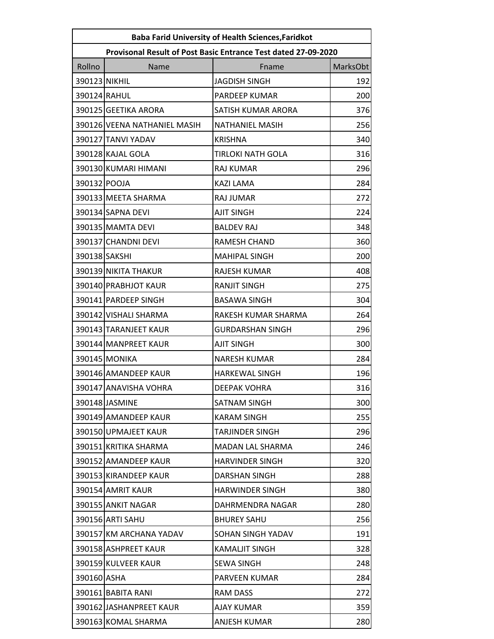| <b>Baba Farid University of Health Sciences, Faridkot</b> |                                                                |                          |          |  |
|-----------------------------------------------------------|----------------------------------------------------------------|--------------------------|----------|--|
|                                                           | Provisonal Result of Post Basic Entrance Test dated 27-09-2020 |                          |          |  |
| Rollno                                                    | Name                                                           | Fname                    | MarksObt |  |
| 390123 NIKHIL                                             |                                                                | <b>JAGDISH SINGH</b>     | 192      |  |
| 390124 RAHUL                                              |                                                                | PARDEEP KUMAR            | 200      |  |
|                                                           | 390125 GEETIKA ARORA                                           | SATISH KUMAR ARORA       | 376      |  |
|                                                           | 390126 VEENA NATHANIEL MASIH                                   | <b>NATHANIEL MASIH</b>   | 256      |  |
|                                                           | 390127 TANVI YADAV                                             | <b>KRISHNA</b>           | 340      |  |
|                                                           | 390128 KAJAL GOLA                                              | <b>TIRLOKI NATH GOLA</b> | 316      |  |
|                                                           | 390130 KUMARI HIMANI                                           | <b>RAJ KUMAR</b>         | 296      |  |
| 390132 POOJA                                              |                                                                | <b>KAZI LAMA</b>         | 284      |  |
|                                                           | 390133 MEETA SHARMA                                            | RAJ JUMAR                | 272      |  |
|                                                           | 390134 SAPNA DEVI                                              | <b>AJIT SINGH</b>        | 224      |  |
|                                                           | 390135 MAMTA DEVI                                              | <b>BALDEV RAJ</b>        | 348      |  |
|                                                           | 390137 CHANDNI DEVI                                            | RAMESH CHAND             | 360      |  |
| 390138 SAKSHI                                             |                                                                | <b>MAHIPAL SINGH</b>     | 200      |  |
|                                                           | 390139 NIKITA THAKUR                                           | RAJESH KUMAR             | 408      |  |
|                                                           | 390140 PRABHJOT KAUR                                           | <b>RANJIT SINGH</b>      | 275      |  |
|                                                           | 390141 PARDEEP SINGH                                           | <b>BASAWA SINGH</b>      | 304      |  |
|                                                           | 390142 VISHALI SHARMA                                          | RAKESH KUMAR SHARMA      | 264      |  |
|                                                           | 390143 TARANJEET KAUR                                          | <b>GURDARSHAN SINGH</b>  | 296      |  |
|                                                           | 390144 MANPREET KAUR                                           | <b>AJIT SINGH</b>        | 300      |  |
|                                                           | 390145 MONIKA                                                  | <b>NARESH KUMAR</b>      | 284      |  |
|                                                           | 390146 AMANDEEP KAUR                                           | <b>HARKEWAL SINGH</b>    | 196      |  |
|                                                           | 390147 ANAVISHA VOHRA                                          | <b>DEEPAK VOHRA</b>      | 316      |  |
|                                                           | 390148 JASMINE                                                 | SATNAM SINGH             | 300      |  |
|                                                           | 390149 AMANDEEP KAUR                                           | <b>KARAM SINGH</b>       | 255      |  |
|                                                           | 390150 UPMAJEET KAUR                                           | <b>TARJINDER SINGH</b>   | 296      |  |
|                                                           | 390151 KRITIKA SHARMA                                          | MADAN LAL SHARMA         | 246      |  |
|                                                           | 390152 AMANDEEP KAUR                                           | <b>HARVINDER SINGH</b>   | 320      |  |
|                                                           | 390153 KIRANDEEP KAUR                                          | DARSHAN SINGH            | 288      |  |
|                                                           | 390154 AMRIT KAUR                                              | <b>HARWINDER SINGH</b>   | 380      |  |
|                                                           | 390155 ANKIT NAGAR                                             | DAHRMENDRA NAGAR         | 280      |  |
|                                                           | 390156 ARTI SAHU                                               | <b>BHUREY SAHU</b>       | 256      |  |
|                                                           | 390157 KM ARCHANA YADAV                                        | SOHAN SINGH YADAV        | 191      |  |
|                                                           | 390158 ASHPREET KAUR                                           | KAMALJIT SINGH           | 328      |  |
|                                                           | 390159 KULVEER KAUR                                            | <b>SEWA SINGH</b>        | 248      |  |
| 390160 ASHA                                               |                                                                | <b>PARVEEN KUMAR</b>     | 284      |  |
|                                                           | 390161 BABITA RANI                                             | RAM DASS                 | 272      |  |
|                                                           | 390162 JASHANPREET KAUR                                        | AJAY KUMAR               | 359      |  |
|                                                           | 390163 KOMAL SHARMA                                            | <b>ANJESH KUMAR</b>      | 280      |  |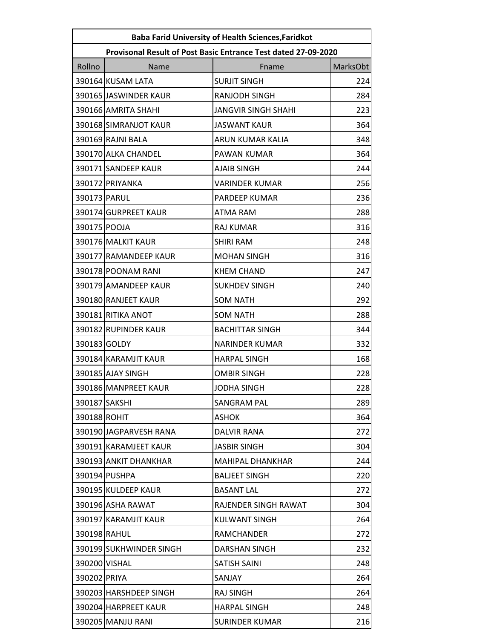| <b>Baba Farid University of Health Sciences, Faridkot</b> |                                                                |                            |          |  |
|-----------------------------------------------------------|----------------------------------------------------------------|----------------------------|----------|--|
|                                                           | Provisonal Result of Post Basic Entrance Test dated 27-09-2020 |                            |          |  |
| Rollno                                                    | Name                                                           | Fname                      | MarksObt |  |
|                                                           | 390164 KUSAM LATA                                              | <b>SURJIT SINGH</b>        | 224      |  |
|                                                           | 390165 JASWINDER KAUR                                          | RANJODH SINGH              | 284      |  |
|                                                           | 390166 AMRITA SHAHI                                            | <b>JANGVIR SINGH SHAHI</b> | 223      |  |
|                                                           | 390168 SIMRANJOT KAUR                                          | <b>JASWANT KAUR</b>        | 364      |  |
|                                                           | 390169 RAJNI BALA                                              | ARUN KUMAR KALIA           | 348      |  |
|                                                           | 390170 ALKA CHANDEL                                            | PAWAN KUMAR                | 364      |  |
|                                                           | 390171 SANDEEP KAUR                                            | <b>AJAIB SINGH</b>         | 244      |  |
|                                                           | 390172 PRIYANKA                                                | <b>VARINDER KUMAR</b>      | 256      |  |
| 390173 PARUL                                              |                                                                | PARDEEP KUMAR              | 236      |  |
|                                                           | 390174 GURPREET KAUR                                           | <b>ATMA RAM</b>            | 288      |  |
| 390175 POOJA                                              |                                                                | <b>RAJ KUMAR</b>           | 316      |  |
|                                                           | 390176 MALKIT KAUR                                             | <b>SHIRI RAM</b>           | 248      |  |
|                                                           | 390177 RAMANDEEP KAUR                                          | <b>MOHAN SINGH</b>         | 316      |  |
|                                                           | 390178 POONAM RANI                                             | <b>KHEM CHAND</b>          | 247      |  |
|                                                           | 390179 AMANDEEP KAUR                                           | <b>SUKHDEV SINGH</b>       | 240      |  |
|                                                           | 390180 RANJEET KAUR                                            | <b>SOM NATH</b>            | 292      |  |
|                                                           | 390181 RITIKA ANOT                                             | <b>SOM NATH</b>            | 288      |  |
|                                                           | 390182 RUPINDER KAUR                                           | <b>BACHITTAR SINGH</b>     | 344      |  |
| 390183 GOLDY                                              |                                                                | <b>NARINDER KUMAR</b>      | 332      |  |
|                                                           | 390184 KARAMJIT KAUR                                           | <b>HARPAL SINGH</b>        | 168      |  |
|                                                           | 390185 AJAY SINGH                                              | <b>OMBIR SINGH</b>         | 228      |  |
|                                                           | 390186 MANPREET KAUR                                           | JODHA SINGH                | 228      |  |
| 390187 SAKSHI                                             |                                                                | SANGRAM PAL                | 289      |  |
| 390188 ROHIT                                              |                                                                | <b>ASHOK</b>               | 364      |  |
|                                                           | 390190 JAGPARVESH RANA                                         | DALVIR RANA                | 272      |  |
|                                                           | 390191 KARAMJEET KAUR                                          | <b>JASBIR SINGH</b>        | 304      |  |
|                                                           | 390193 ANKIT DHANKHAR                                          | <b>MAHIPAL DHANKHAR</b>    | 244      |  |
|                                                           | 390194 PUSHPA                                                  | <b>BALJEET SINGH</b>       | 220      |  |
|                                                           | 390195 KULDEEP KAUR                                            | <b>BASANT LAL</b>          | 272      |  |
|                                                           | 390196 ASHA RAWAT                                              | RAJENDER SINGH RAWAT       | 304      |  |
|                                                           | 390197 KARAMJIT KAUR                                           | KULWANT SINGH              | 264      |  |
| 390198 RAHUL                                              |                                                                | <b>RAMCHANDER</b>          | 272      |  |
|                                                           | 390199 SUKHWINDER SINGH                                        | DARSHAN SINGH              | 232      |  |
| 390200 VISHAL                                             |                                                                | SATISH SAINI               | 248      |  |
| 390202 PRIYA                                              |                                                                | SANJAY                     | 264      |  |
|                                                           | 390203 HARSHDEEP SINGH                                         | RAJ SINGH                  | 264      |  |
|                                                           | 390204 HARPREET KAUR                                           | <b>HARPAL SINGH</b>        | 248      |  |
|                                                           | 390205 MANJU RANI                                              | <b>SURINDER KUMAR</b>      | 216      |  |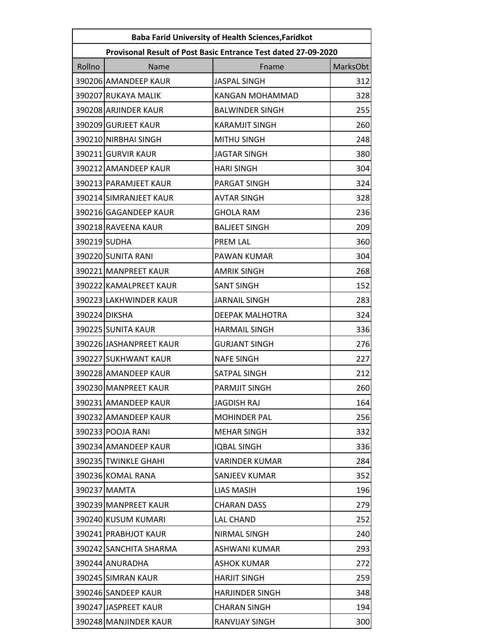| <b>Baba Farid University of Health Sciences, Faridkot</b> |                                                                |                        |          |  |
|-----------------------------------------------------------|----------------------------------------------------------------|------------------------|----------|--|
|                                                           | Provisonal Result of Post Basic Entrance Test dated 27-09-2020 |                        |          |  |
| Rollno                                                    | Name                                                           | Fname                  | MarksObt |  |
|                                                           | 390206 AMANDEEP KAUR                                           | <b>JASPAL SINGH</b>    | 312      |  |
|                                                           | 390207 RUKAYA MALIK                                            | <b>KANGAN MOHAMMAD</b> | 328      |  |
|                                                           | 390208 ARJINDER KAUR                                           | <b>BALWINDER SINGH</b> | 255      |  |
|                                                           | 390209 GURJEET KAUR                                            | <b>KARAMJIT SINGH</b>  | 260      |  |
|                                                           | 390210 NIRBHAI SINGH                                           | <b>MITHU SINGH</b>     | 248      |  |
|                                                           | 390211 GURVIR KAUR                                             | <b>JAGTAR SINGH</b>    | 380      |  |
|                                                           | 390212 AMANDEEP KAUR                                           | <b>HARI SINGH</b>      | 304      |  |
|                                                           | 390213 PARAMJEET KAUR                                          | PARGAT SINGH           | 324      |  |
|                                                           | 390214 SIMRANJEET KAUR                                         | <b>AVTAR SINGH</b>     | 328      |  |
|                                                           | 390216 GAGANDEEP KAUR                                          | <b>GHOLA RAM</b>       | 236      |  |
|                                                           | 390218 RAVEENA KAUR                                            | <b>BALJEET SINGH</b>   | 209      |  |
| 390219 SUDHA                                              |                                                                | PREM LAL               | 360      |  |
|                                                           | 390220 SUNITA RANI                                             | PAWAN KUMAR            | 304      |  |
|                                                           | 390221 MANPREET KAUR                                           | <b>AMRIK SINGH</b>     | 268      |  |
|                                                           | 390222 KAMALPREET KAUR                                         | <b>SANT SINGH</b>      | 152      |  |
|                                                           | 390223 LAKHWINDER KAUR                                         | <b>JARNAIL SINGH</b>   | 283      |  |
|                                                           | 390224 DIKSHA                                                  | <b>DEEPAK MALHOTRA</b> | 324      |  |
|                                                           | 390225 SUNITA KAUR                                             | <b>HARMAIL SINGH</b>   | 336      |  |
|                                                           | 390226 JASHANPREET KAUR                                        | <b>GURJANT SINGH</b>   | 276      |  |
|                                                           | 390227 SUKHWANT KAUR                                           | <b>NAFE SINGH</b>      | 227      |  |
|                                                           | 390228 AMANDEEP KAUR                                           | SATPAL SINGH           | 212      |  |
|                                                           | 390230 MANPREET KAUR                                           | PARMJIT SINGH          | 260      |  |
|                                                           | 390231 AMANDEEP KAUR                                           | <b>JAGDISH RAJ</b>     | 164      |  |
|                                                           | 390232 AMANDEEP KAUR                                           | <b>MOHINDER PAL</b>    | 256      |  |
|                                                           | 390233 POOJA RANI                                              | <b>MEHAR SINGH</b>     | 332      |  |
|                                                           | 390234 AMANDEEP KAUR                                           | <b>IQBAL SINGH</b>     | 336      |  |
|                                                           | 390235 TWINKLE GHAHI                                           | <b>VARINDER KUMAR</b>  | 284      |  |
|                                                           | 390236 KOMAL RANA                                              | SANJEEV KUMAR          | 352      |  |
|                                                           | 390237 MAMTA                                                   | <b>LIAS MASIH</b>      | 196      |  |
|                                                           | 390239 MANPREET KAUR                                           | <b>CHARAN DASS</b>     | 279      |  |
|                                                           | 390240 KUSUM KUMARI                                            | <b>LAL CHAND</b>       | 252      |  |
|                                                           | 390241 PRABHJOT KAUR                                           | <b>NIRMAL SINGH</b>    | 240      |  |
|                                                           | 390242 SANCHITA SHARMA                                         | <b>ASHWANI KUMAR</b>   | 293      |  |
|                                                           | 390244 ANURADHA                                                | <b>ASHOK KUMAR</b>     | 272      |  |
|                                                           | 390245 SIMRAN KAUR                                             | <b>HARJIT SINGH</b>    | 259      |  |
|                                                           | 390246 SANDEEP KAUR                                            | <b>HARJINDER SINGH</b> | 348      |  |
|                                                           | 390247 JASPREET KAUR                                           | CHARAN SINGH           | 194      |  |
|                                                           | 390248 MANJINDER KAUR                                          | RANVIJAY SINGH         | 300      |  |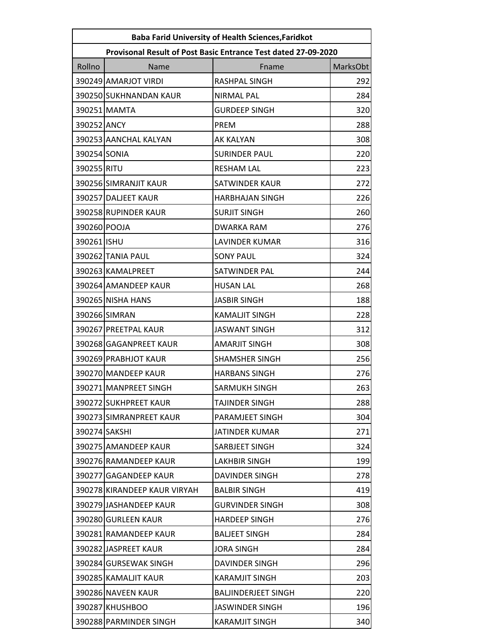| <b>Baba Farid University of Health Sciences, Faridkot</b> |                                                                |                            |          |  |
|-----------------------------------------------------------|----------------------------------------------------------------|----------------------------|----------|--|
|                                                           | Provisonal Result of Post Basic Entrance Test dated 27-09-2020 |                            |          |  |
| Rollno                                                    | Name                                                           | Fname                      | MarksObt |  |
|                                                           | 390249 AMARJOT VIRDI                                           | <b>RASHPAL SINGH</b>       | 292      |  |
|                                                           | 390250 SUKHNANDAN KAUR                                         | <b>NIRMAL PAL</b>          | 284      |  |
|                                                           | 390251 MAMTA                                                   | <b>GURDEEP SINGH</b>       | 320      |  |
| 390252 ANCY                                               |                                                                | <b>PREM</b>                | 288      |  |
|                                                           | 390253 AANCHAL KALYAN                                          | <b>AK KALYAN</b>           | 308      |  |
| 390254 SONIA                                              |                                                                | <b>SURINDER PAUL</b>       | 220      |  |
| 390255 RITU                                               |                                                                | <b>RESHAM LAL</b>          | 223      |  |
|                                                           | 390256 SIMRANJIT KAUR                                          | <b>SATWINDER KAUR</b>      | 272      |  |
|                                                           | 390257 DALJEET KAUR                                            | <b>HARBHAJAN SINGH</b>     | 226      |  |
|                                                           | 390258 RUPINDER KAUR                                           | <b>SURJIT SINGH</b>        | 260      |  |
| 390260 POOJA                                              |                                                                | <b>DWARKA RAM</b>          | 276      |  |
| 390261 ISHU                                               |                                                                | <b>LAVINDER KUMAR</b>      | 316      |  |
|                                                           | 390262 TANIA PAUL                                              | <b>SONY PAUL</b>           | 324      |  |
|                                                           | 390263 KAMALPREET                                              | SATWINDER PAL              | 244      |  |
|                                                           | 390264 AMANDEEP KAUR                                           | <b>HUSAN LAL</b>           | 268      |  |
|                                                           | 390265 NISHA HANS                                              | <b>JASBIR SINGH</b>        | 188      |  |
|                                                           | 390266 SIMRAN                                                  | <b>KAMALJIT SINGH</b>      | 228      |  |
|                                                           | 390267 PREETPAL KAUR                                           | <b>JASWANT SINGH</b>       | 312      |  |
|                                                           | 390268 GAGANPREET KAUR                                         | <b>AMARJIT SINGH</b>       | 308      |  |
|                                                           | 390269 PRABHJOT KAUR                                           | <b>SHAMSHER SINGH</b>      | 256      |  |
|                                                           | 390270 MANDEEP KAUR                                            | <b>HARBANS SINGH</b>       | 276      |  |
|                                                           | 390271 MANPREET SINGH                                          | SARMUKH SINGH              | 263      |  |
|                                                           | 390272 SUKHPREET KAUR                                          | TAJINDER SINGH             | 288      |  |
|                                                           | 390273 SIMRANPREET KAUR                                        | PARAMJEET SINGH            | 304      |  |
| 390274 SAKSHI                                             |                                                                | <b>JATINDER KUMAR</b>      | 271      |  |
|                                                           | 390275 AMANDEEP KAUR                                           | SARBJEET SINGH             | 324      |  |
|                                                           | 390276 RAMANDEEP KAUR                                          | <b>LAKHBIR SINGH</b>       | 199      |  |
|                                                           | 390277 GAGANDEEP KAUR                                          | DAVINDER SINGH             | 278      |  |
|                                                           | 390278 KIRANDEEP KAUR VIRYAH                                   | <b>BALBIR SINGH</b>        | 419      |  |
|                                                           | 390279 JASHANDEEP KAUR                                         | <b>GURVINDER SINGH</b>     | 308      |  |
|                                                           | 390280 GURLEEN KAUR                                            | <b>HARDEEP SINGH</b>       | 276      |  |
|                                                           | 390281 RAMANDEEP KAUR                                          | <b>BALJEET SINGH</b>       | 284      |  |
|                                                           | 390282 JASPREET KAUR                                           | <b>JORA SINGH</b>          | 284      |  |
|                                                           | 390284 GURSEWAK SINGH                                          | <b>DAVINDER SINGH</b>      | 296      |  |
|                                                           | 390285 KAMALJIT KAUR                                           | <b>KARAMJIT SINGH</b>      | 203      |  |
|                                                           | 390286 NAVEEN KAUR                                             | <b>BALJINDERJEET SINGH</b> | 220      |  |
|                                                           | 390287 KHUSHBOO                                                | <b>JASWINDER SINGH</b>     | 196      |  |
|                                                           | 390288 PARMINDER SINGH                                         | <b>KARAMJIT SINGH</b>      | 340      |  |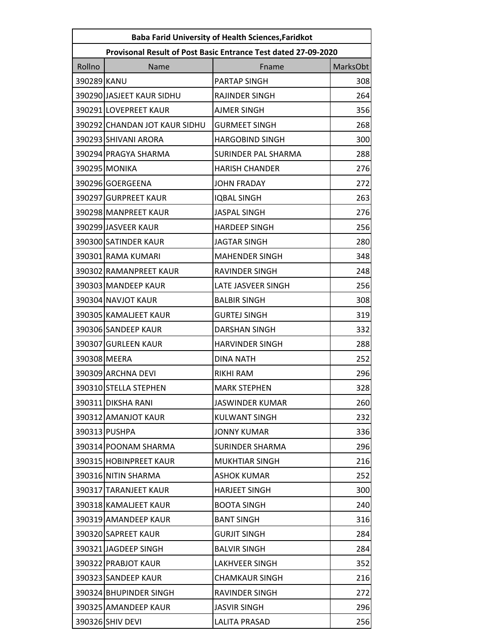| <b>Baba Farid University of Health Sciences, Faridkot</b> |                                                                |                        |          |  |
|-----------------------------------------------------------|----------------------------------------------------------------|------------------------|----------|--|
|                                                           | Provisonal Result of Post Basic Entrance Test dated 27-09-2020 |                        |          |  |
| Rollno                                                    | Name                                                           | Fname                  | MarksObt |  |
| 390289 KANU                                               |                                                                | PARTAP SINGH           | 308      |  |
|                                                           | 390290 JASJEET KAUR SIDHU                                      | RAJINDER SINGH         | 264      |  |
|                                                           | 390291 LOVEPREET KAUR                                          | <b>AJMER SINGH</b>     | 356      |  |
|                                                           | 390292 CHANDAN JOT KAUR SIDHU                                  | <b>GURMEET SINGH</b>   | 268      |  |
|                                                           | 390293 SHIVANI ARORA                                           | <b>HARGOBIND SINGH</b> | 300      |  |
|                                                           | 390294 PRAGYA SHARMA                                           | SURINDER PAL SHARMA    | 288      |  |
|                                                           | 390295 MONIKA                                                  | <b>HARISH CHANDER</b>  | 276      |  |
|                                                           | 390296 GOERGEENA                                               | <b>JOHN FRADAY</b>     | 272      |  |
|                                                           | 390297 GURPREET KAUR                                           | <b>IQBAL SINGH</b>     | 263      |  |
|                                                           | 390298 MANPREET KAUR                                           | <b>JASPAL SINGH</b>    | 276      |  |
|                                                           | 390299 JASVEER KAUR                                            | <b>HARDEEP SINGH</b>   | 256      |  |
|                                                           | 390300 SATINDER KAUR                                           | <b>JAGTAR SINGH</b>    | 280      |  |
|                                                           | 390301 RAMA KUMARI                                             | <b>MAHENDER SINGH</b>  | 348      |  |
|                                                           | 390302 RAMANPREET KAUR                                         | RAVINDER SINGH         | 248      |  |
|                                                           | 390303 MANDEEP KAUR                                            | LATE JASVEER SINGH     | 256      |  |
|                                                           | 390304 NAVJOT KAUR                                             | <b>BALBIR SINGH</b>    | 308      |  |
|                                                           | 390305 KAMALJEET KAUR                                          | <b>GURTEJ SINGH</b>    | 319      |  |
|                                                           | 390306 SANDEEP KAUR                                            | <b>DARSHAN SINGH</b>   | 332      |  |
|                                                           | 390307 GURLEEN KAUR                                            | <b>HARVINDER SINGH</b> | 288      |  |
|                                                           | 390308 MEERA                                                   | <b>DINA NATH</b>       | 252      |  |
|                                                           | 390309 ARCHNA DEVI                                             | <b>RIKHI RAM</b>       | 296      |  |
|                                                           | 390310 STELLA STEPHEN                                          | <b>MARK STEPHEN</b>    | 328      |  |
|                                                           | 390311 DIKSHA RANI                                             | JASWINDER KUMAR        | 260      |  |
|                                                           | 390312 AMANJOT KAUR                                            | KULWANT SINGH          | 232      |  |
|                                                           | 390313 PUSHPA                                                  | <b>JONNY KUMAR</b>     | 336      |  |
|                                                           | 390314 POONAM SHARMA                                           | SURINDER SHARMA        | 296      |  |
|                                                           | 390315 HOBINPREET KAUR                                         | <b>MUKHTIAR SINGH</b>  | 216      |  |
|                                                           | 390316 NITIN SHARMA                                            | <b>ASHOK KUMAR</b>     | 252      |  |
|                                                           | 390317 TARANJEET KAUR                                          | <b>HARJEET SINGH</b>   | 300      |  |
|                                                           | 390318 KAMALJEET KAUR                                          | <b>BOOTA SINGH</b>     | 240      |  |
|                                                           | 390319 AMANDEEP KAUR                                           | <b>BANT SINGH</b>      | 316      |  |
|                                                           | 390320 SAPREET KAUR                                            | <b>GURJIT SINGH</b>    | 284      |  |
|                                                           | 390321 JAGDEEP SINGH                                           | <b>BALVIR SINGH</b>    | 284      |  |
|                                                           | 390322 PRABJOT KAUR                                            | LAKHVEER SINGH         | 352      |  |
|                                                           | 390323 SANDEEP KAUR                                            | <b>CHAMKAUR SINGH</b>  | 216      |  |
|                                                           | 390324 BHUPINDER SINGH                                         | RAVINDER SINGH         | 272      |  |
|                                                           | 390325 AMANDEEP KAUR                                           | <b>JASVIR SINGH</b>    | 296      |  |
|                                                           | 390326 SHIV DEVI                                               | <b>LALITA PRASAD</b>   | 256      |  |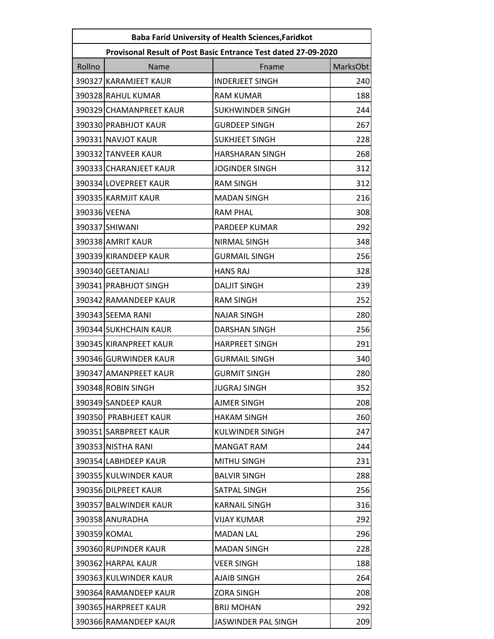| <b>Baba Farid University of Health Sciences, Faridkot</b>      |                         |                         |          |
|----------------------------------------------------------------|-------------------------|-------------------------|----------|
| Provisonal Result of Post Basic Entrance Test dated 27-09-2020 |                         |                         |          |
| Rollno                                                         | Name                    | Fname                   | MarksObt |
|                                                                | 390327 KARAMJEET KAUR   | <b>INDERJEET SINGH</b>  | 240      |
|                                                                | 390328 RAHUL KUMAR      | <b>RAM KUMAR</b>        | 188      |
|                                                                | 390329 CHAMANPREET KAUR | <b>SUKHWINDER SINGH</b> | 244      |
|                                                                | 390330 PRABHJOT KAUR    | <b>GURDEEP SINGH</b>    | 267      |
|                                                                | 390331 NAVJOT KAUR      | <b>SUKHJEET SINGH</b>   | 228      |
|                                                                | 390332 TANVEER KAUR     | <b>HARSHARAN SINGH</b>  | 268      |
|                                                                | 390333 CHARANJEET KAUR  | <b>JOGINDER SINGH</b>   | 312      |
|                                                                | 390334 LOVEPREET KAUR   | <b>RAM SINGH</b>        | 312      |
|                                                                | 390335 KARMJIT KAUR     | <b>MADAN SINGH</b>      | 216      |
| 390336 VEENA                                                   |                         | <b>RAM PHAL</b>         | 308      |
|                                                                | 390337 SHIWANI          | PARDEEP KUMAR           | 292      |
|                                                                | 390338 AMRIT KAUR       | <b>NIRMAL SINGH</b>     | 348      |
|                                                                | 390339 KIRANDEEP KAUR   | <b>GURMAIL SINGH</b>    | 256      |
|                                                                | 390340 GEETANJALI       | <b>HANS RAJ</b>         | 328      |
|                                                                | 390341 PRABHJOT SINGH   | <b>DALJIT SINGH</b>     | 239      |
|                                                                | 390342 RAMANDEEP KAUR   | <b>RAM SINGH</b>        | 252      |
|                                                                | 390343 SEEMA RANI       | <b>NAJAR SINGH</b>      | 280      |
|                                                                | 390344 SUKHCHAIN KAUR   | <b>DARSHAN SINGH</b>    | 256      |
|                                                                | 390345 KIRANPREET KAUR  | <b>HARPREET SINGH</b>   | 291      |
|                                                                | 390346 GURWINDER KAUR   | <b>GURMAIL SINGH</b>    | 340      |
|                                                                | 390347 AMANPREET KAUR   | <b>GURMIT SINGH</b>     | 280      |
|                                                                | 390348 ROBIN SINGH      | <b>JUGRAJ SINGH</b>     | 352      |
|                                                                | 390349 SANDEEP KAUR     | AJMER SINGH             | 208      |
|                                                                | 390350 PRABHJEET KAUR   | <b>HAKAM SINGH</b>      | 260      |
|                                                                | 390351 SARBPREET KAUR   | <b>KULWINDER SINGH</b>  | 247      |
|                                                                | 390353 NISTHA RANI      | <b>MANGAT RAM</b>       | 244      |
|                                                                | 390354 LABHDEEP KAUR    | MITHU SINGH             | 231      |
|                                                                | 390355 KULWINDER KAUR   | <b>BALVIR SINGH</b>     | 288      |
|                                                                | 390356 DILPREET KAUR    | SATPAL SINGH            | 256      |
|                                                                | 390357 BALWINDER KAUR   | <b>KARNAIL SINGH</b>    | 316      |
|                                                                | 390358 ANURADHA         | <b>VIJAY KUMAR</b>      | 292      |
|                                                                | 390359 KOMAL            | <b>MADAN LAL</b>        | 296      |
|                                                                | 390360 RUPINDER KAUR    | <b>MADAN SINGH</b>      | 228      |
|                                                                | 390362 HARPAL KAUR      | <b>VEER SINGH</b>       | 188      |
|                                                                | 390363 KULWINDER KAUR   | AJAIB SINGH             | 264      |
|                                                                | 390364 RAMANDEEP KAUR   | <b>ZORA SINGH</b>       | 208      |
|                                                                | 390365 HARPREET KAUR    | <b>BRIJ MOHAN</b>       | 292      |
|                                                                | 390366 RAMANDEEP KAUR   | JASWINDER PAL SINGH     | 209      |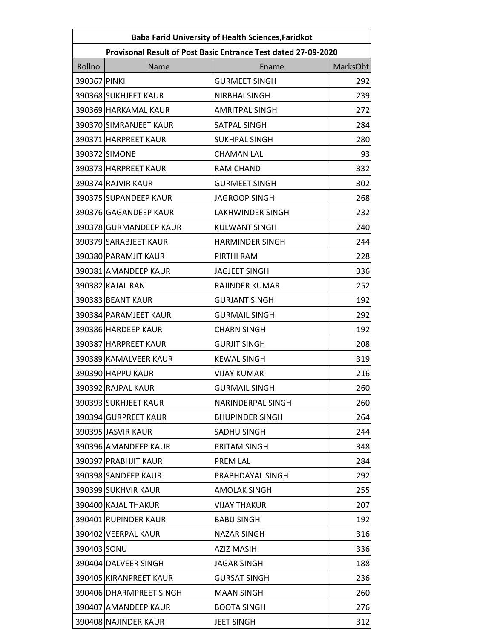| <b>Baba Farid University of Health Sciences, Faridkot</b> |                         |                                                                |          |
|-----------------------------------------------------------|-------------------------|----------------------------------------------------------------|----------|
|                                                           |                         | Provisonal Result of Post Basic Entrance Test dated 27-09-2020 |          |
| Rollno                                                    | Name                    | Fname                                                          | MarksObt |
| 390367 PINKI                                              |                         | <b>GURMEET SINGH</b>                                           | 292      |
|                                                           | 390368 SUKHJEET KAUR    | <b>NIRBHAI SINGH</b>                                           | 239      |
|                                                           | 390369 HARKAMAL KAUR    | <b>AMRITPAL SINGH</b>                                          | 272      |
|                                                           | 390370 SIMRANJEET KAUR  | SATPAL SINGH                                                   | 284      |
|                                                           | 390371 HARPREET KAUR    | <b>SUKHPAL SINGH</b>                                           | 280      |
|                                                           | 390372 SIMONE           | <b>CHAMAN LAL</b>                                              | 93       |
|                                                           | 390373 HARPREET KAUR    | <b>RAM CHAND</b>                                               | 332      |
|                                                           | 390374 RAJVIR KAUR      | <b>GURMEET SINGH</b>                                           | 302      |
|                                                           | 390375 SUPANDEEP KAUR   | <b>JAGROOP SINGH</b>                                           | 268      |
|                                                           | 390376 GAGANDEEP KAUR   | <b>LAKHWINDER SINGH</b>                                        | 232      |
|                                                           | 390378 GURMANDEEP KAUR  | <b>KULWANT SINGH</b>                                           | 240      |
|                                                           | 390379 SARABJEET KAUR   | <b>HARMINDER SINGH</b>                                         | 244      |
|                                                           | 390380 PARAMJIT KAUR    | PIRTHI RAM                                                     | 228      |
|                                                           | 390381 AMANDEEP KAUR    | <b>JAGJEET SINGH</b>                                           | 336      |
|                                                           | 390382 KAJAL RANI       | RAJINDER KUMAR                                                 | 252      |
|                                                           | 390383 BEANT KAUR       | <b>GURJANT SINGH</b>                                           | 192      |
|                                                           | 390384 PARAMJEET KAUR   | <b>GURMAIL SINGH</b>                                           | 292      |
|                                                           | 390386 HARDEEP KAUR     | <b>CHARN SINGH</b>                                             | 192      |
|                                                           | 390387 HARPREET KAUR    | <b>GURJIT SINGH</b>                                            | 208      |
|                                                           | 390389 KAMALVEER KAUR   | <b>KEWAL SINGH</b>                                             | 319      |
|                                                           | 390390 HAPPU KAUR       | <b>VIJAY KUMAR</b>                                             | 216      |
|                                                           | 390392 RAJPAL KAUR      | <b>GURMAIL SINGH</b>                                           | 260      |
|                                                           | 390393 SUKHJEET KAUR    | NARINDERPAL SINGH                                              | 260      |
|                                                           | 390394 GURPREET KAUR    | <b>BHUPINDER SINGH</b>                                         | 264      |
|                                                           | 390395 JASVIR KAUR      | SADHU SINGH                                                    | 244      |
|                                                           | 390396 AMANDEEP KAUR    | PRITAM SINGH                                                   | 348      |
|                                                           | 390397 PRABHJIT KAUR    | PREM LAL                                                       | 284      |
|                                                           | 390398 SANDEEP KAUR     | PRABHDAYAL SINGH                                               | 292      |
|                                                           | 390399 SUKHVIR KAUR     | AMOLAK SINGH                                                   | 255      |
|                                                           | 390400 KAJAL THAKUR     | <b>VIJAY THAKUR</b>                                            | 207      |
|                                                           | 390401 RUPINDER KAUR    | <b>BABU SINGH</b>                                              | 192      |
|                                                           | 390402 VEERPAL KAUR     | <b>NAZAR SINGH</b>                                             | 316      |
| 390403 SONU                                               |                         | <b>AZIZ MASIH</b>                                              | 336      |
|                                                           | 390404 DALVEER SINGH    | <b>JAGAR SINGH</b>                                             | 188      |
|                                                           | 390405 KIRANPREET KAUR  | <b>GURSAT SINGH</b>                                            | 236      |
|                                                           | 390406 DHARMPREET SINGH | <b>MAAN SINGH</b>                                              | 260      |
|                                                           | 390407 AMANDEEP KAUR    | <b>BOOTA SINGH</b>                                             | 276      |
|                                                           | 390408 NAJINDER KAUR    | <b>JEET SINGH</b>                                              | 312      |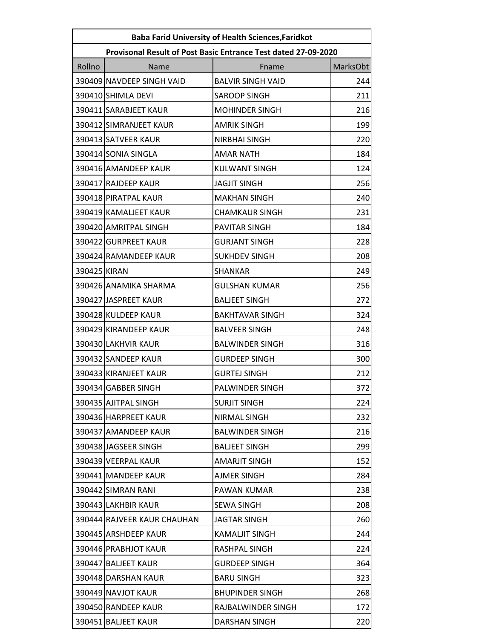| <b>Baba Farid University of Health Sciences, Faridkot</b> |                                                                |                          |          |  |
|-----------------------------------------------------------|----------------------------------------------------------------|--------------------------|----------|--|
|                                                           | Provisonal Result of Post Basic Entrance Test dated 27-09-2020 |                          |          |  |
| Rollno                                                    | Name                                                           | Fname                    | MarksObt |  |
|                                                           | 390409 NAVDEEP SINGH VAID                                      | <b>BALVIR SINGH VAID</b> | 244      |  |
|                                                           | 390410 SHIMLA DEVI                                             | <b>SAROOP SINGH</b>      | 211      |  |
|                                                           | 390411 SARABJEET KAUR                                          | <b>MOHINDER SINGH</b>    | 216      |  |
|                                                           | 390412 SIMRANJEET KAUR                                         | <b>AMRIK SINGH</b>       | 199      |  |
|                                                           | 390413 SATVEER KAUR                                            | NIRBHAI SINGH            | 220      |  |
|                                                           | 390414 SONIA SINGLA                                            | <b>AMAR NATH</b>         | 184      |  |
|                                                           | 390416 AMANDEEP KAUR                                           | <b>KULWANT SINGH</b>     | 124      |  |
|                                                           | 390417 RAJDEEP KAUR                                            | <b>JAGJIT SINGH</b>      | 256      |  |
|                                                           | 390418 PIRATPAL KAUR                                           | <b>MAKHAN SINGH</b>      | 240      |  |
|                                                           | 390419 KAMALJEET KAUR                                          | <b>CHAMKAUR SINGH</b>    | 231      |  |
|                                                           | 390420 AMRITPAL SINGH                                          | <b>PAVITAR SINGH</b>     | 184      |  |
|                                                           | 390422 GURPREET KAUR                                           | <b>GURJANT SINGH</b>     | 228      |  |
|                                                           | 390424 RAMANDEEP KAUR                                          | <b>SUKHDEV SINGH</b>     | 208      |  |
| 390425 KIRAN                                              |                                                                | <b>SHANKAR</b>           | 249      |  |
|                                                           | 390426 ANAMIKA SHARMA                                          | <b>GULSHAN KUMAR</b>     | 256      |  |
|                                                           | 390427 JASPREET KAUR                                           | <b>BALJEET SINGH</b>     | 272      |  |
|                                                           | 390428 KULDEEP KAUR                                            | <b>BAKHTAVAR SINGH</b>   | 324      |  |
|                                                           | 390429 KIRANDEEP KAUR                                          | <b>BALVEER SINGH</b>     | 248      |  |
|                                                           | 390430 LAKHVIR KAUR                                            | <b>BALWINDER SINGH</b>   | 316      |  |
|                                                           | 390432 SANDEEP KAUR                                            | <b>GURDEEP SINGH</b>     | 300      |  |
|                                                           | 390433 KIRANJEET KAUR                                          | <b>GURTEJ SINGH</b>      | 212      |  |
|                                                           | 390434 GABBER SINGH                                            | PALWINDER SINGH          | 372      |  |
|                                                           | 390435 AJITPAL SINGH                                           | <b>SURJIT SINGH</b>      | 224      |  |
|                                                           | 390436 HARPREET KAUR                                           | NIRMAL SINGH             | 232      |  |
|                                                           | 390437 AMANDEEP KAUR                                           | <b>BALWINDER SINGH</b>   | 216      |  |
|                                                           | 390438 JAGSEER SINGH                                           | <b>BALJEET SINGH</b>     | 299      |  |
|                                                           | 390439 VEERPAL KAUR                                            | <b>AMARJIT SINGH</b>     | 152      |  |
|                                                           | 390441 MANDEEP KAUR                                            | AJMER SINGH              | 284      |  |
|                                                           | 390442 SIMRAN RANI                                             | PAWAN KUMAR              | 238      |  |
|                                                           | 390443 LAKHBIR KAUR                                            | SEWA SINGH               | 208      |  |
|                                                           | 390444 RAJVEER KAUR CHAUHAN                                    | <b>JAGTAR SINGH</b>      | 260      |  |
|                                                           | 390445 ARSHDEEP KAUR                                           | <b>KAMALJIT SINGH</b>    | 244      |  |
|                                                           | 390446 PRABHJOT KAUR                                           | RASHPAL SINGH            | 224      |  |
|                                                           | 390447 BALJEET KAUR                                            | <b>GURDEEP SINGH</b>     | 364      |  |
|                                                           | 390448 DARSHAN KAUR                                            | <b>BARU SINGH</b>        | 323      |  |
|                                                           | 390449 NAVJOT KAUR                                             | <b>BHUPINDER SINGH</b>   | 268      |  |
|                                                           | 390450 RANDEEP KAUR                                            | RAJBALWINDER SINGH       | 172      |  |
|                                                           | 390451 BALJEET KAUR                                            | <b>DARSHAN SINGH</b>     | 220      |  |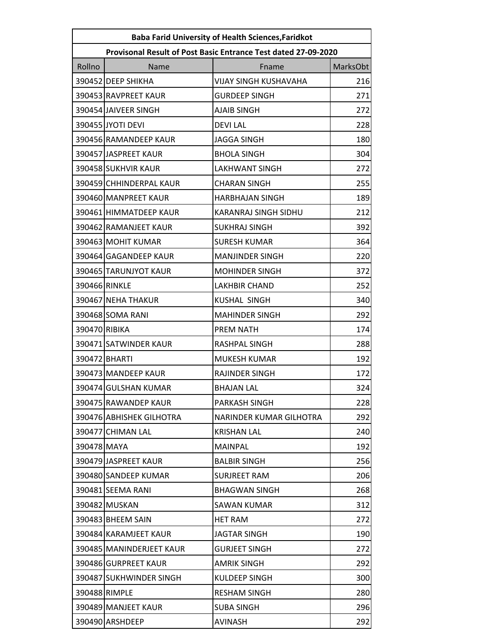| <b>Baba Farid University of Health Sciences, Faridkot</b>      |                          |                              |                 |
|----------------------------------------------------------------|--------------------------|------------------------------|-----------------|
| Provisonal Result of Post Basic Entrance Test dated 27-09-2020 |                          |                              |                 |
| Rollno                                                         | Name                     | Fname                        | <b>MarksObt</b> |
|                                                                | 390452 DEEP SHIKHA       | <b>VIJAY SINGH KUSHAVAHA</b> | 216             |
|                                                                | 390453 RAVPREET KAUR     | <b>GURDEEP SINGH</b>         | 271             |
|                                                                | 390454 JAIVEER SINGH     | <b>AJAIB SINGH</b>           | 272             |
|                                                                | 390455 JYOTI DEVI        | <b>DEVILAL</b>               | 228             |
|                                                                | 390456 RAMANDEEP KAUR    | <b>JAGGA SINGH</b>           | 180             |
|                                                                | 390457 JASPREET KAUR     | <b>BHOLA SINGH</b>           | 304             |
|                                                                | 390458 SUKHVIR KAUR      | <b>LAKHWANT SINGH</b>        | 272             |
|                                                                | 390459 CHHINDERPAL KAUR  | <b>CHARAN SINGH</b>          | 255             |
|                                                                | 390460 MANPREET KAUR     | <b>HARBHAJAN SINGH</b>       | 189             |
|                                                                | 390461 HIMMATDEEP KAUR   | KARANRAJ SINGH SIDHU         | 212             |
|                                                                | 390462 RAMANJEET KAUR    | <b>SUKHRAJ SINGH</b>         | 392             |
|                                                                | 390463 MOHIT KUMAR       | <b>SURESH KUMAR</b>          | 364             |
|                                                                | 390464 GAGANDEEP KAUR    | <b>MANJINDER SINGH</b>       | 220             |
|                                                                | 390465 TARUNJYOT KAUR    | <b>MOHINDER SINGH</b>        | 372             |
| 390466 RINKLE                                                  |                          | <b>LAKHBIR CHAND</b>         | 252             |
|                                                                | 390467 NEHA THAKUR       | <b>KUSHAL SINGH</b>          | 340             |
|                                                                | 390468 SOMA RANI         | <b>MAHINDER SINGH</b>        | 292             |
| 390470 RIBIKA                                                  |                          | PREM NATH                    | 174             |
|                                                                | 390471 SATWINDER KAUR    | RASHPAL SINGH                | 288             |
|                                                                | 390472 BHARTI            | <b>MUKESH KUMAR</b>          | 192             |
|                                                                | 390473 MANDEEP KAUR      | <b>RAJINDER SINGH</b>        | 172             |
|                                                                | 390474 GULSHAN KUMAR     | <b>BHAJAN LAL</b>            | 324             |
|                                                                | 390475 RAWANDEP KAUR     | PARKASH SINGH                | 228             |
|                                                                | 390476 ABHISHEK GILHOTRA | NARINDER KUMAR GILHOTRA      | 292             |
|                                                                | 390477 CHIMAN LAL        | <b>KRISHAN LAL</b>           | 240             |
| 390478 MAYA                                                    |                          | <b>MAINPAL</b>               | 192             |
|                                                                | 390479 JASPREET KAUR     | <b>BALBIR SINGH</b>          | 256             |
|                                                                | 390480 SANDEEP KUMAR     | <b>SURJREET RAM</b>          | 206             |
|                                                                | 390481 SEEMA RANI        | <b>BHAGWAN SINGH</b>         | 268             |
|                                                                | 390482 MUSKAN            | SAWAN KUMAR                  | 312             |
|                                                                | 390483 BHEEM SAIN        | <b>HET RAM</b>               | 272             |
|                                                                | 390484 KARAMJEET KAUR    | <b>JAGTAR SINGH</b>          | 190             |
|                                                                | 390485 MANINDERJEET KAUR | <b>GURJEET SINGH</b>         | 272             |
|                                                                | 390486 GURPREET KAUR     | <b>AMRIK SINGH</b>           | 292             |
|                                                                | 390487 SUKHWINDER SINGH  | KULDEEP SINGH                | 300             |
|                                                                | 390488 RIMPLE            | <b>RESHAM SINGH</b>          | 280             |
|                                                                | 390489 MANJEET KAUR      | SUBA SINGH                   | 296             |
|                                                                | 390490 ARSHDEEP          | <b>AVINASH</b>               | 292             |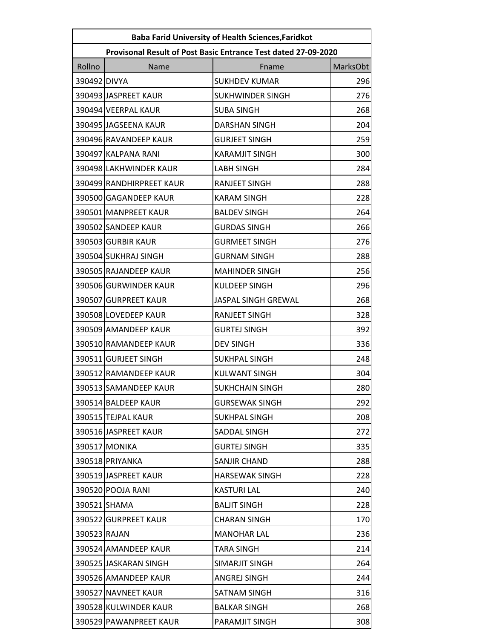| <b>Baba Farid University of Health Sciences, Faridkot</b>      |                          |                         |          |  |
|----------------------------------------------------------------|--------------------------|-------------------------|----------|--|
| Provisonal Result of Post Basic Entrance Test dated 27-09-2020 |                          |                         |          |  |
| Rollno                                                         | Name                     | Fname                   | MarksObt |  |
| 390492 DIVYA                                                   |                          | <b>SUKHDEV KUMAR</b>    | 296      |  |
|                                                                | 390493 JASPREET KAUR     | <b>SUKHWINDER SINGH</b> | 276      |  |
|                                                                | 390494 VEERPAL KAUR      | <b>SUBA SINGH</b>       | 268      |  |
|                                                                | 390495 JAGSEENA KAUR     | <b>DARSHAN SINGH</b>    | 204      |  |
|                                                                | 390496 RAVANDEEP KAUR    | <b>GURJEET SINGH</b>    | 259      |  |
|                                                                | 390497 KALPANA RANI      | <b>KARAMJIT SINGH</b>   | 300      |  |
|                                                                | 390498 LAKHWINDER KAUR   | <b>LABH SINGH</b>       | 284      |  |
|                                                                | 390499 RANDHIRPREET KAUR | <b>RANJEET SINGH</b>    | 288      |  |
|                                                                | 390500 GAGANDEEP KAUR    | <b>KARAM SINGH</b>      | 228      |  |
|                                                                | 390501 MANPREET KAUR     | <b>BALDEV SINGH</b>     | 264      |  |
|                                                                | 390502 SANDEEP KAUR      | <b>GURDAS SINGH</b>     | 266      |  |
|                                                                | 390503 GURBIR KAUR       | <b>GURMEET SINGH</b>    | 276      |  |
|                                                                | 390504 SUKHRAJ SINGH     | <b>GURNAM SINGH</b>     | 288      |  |
|                                                                | 390505 RAJANDEEP KAUR    | <b>MAHINDER SINGH</b>   | 256      |  |
|                                                                | 390506 GURWINDER KAUR    | <b>KULDEEP SINGH</b>    | 296      |  |
|                                                                | 390507 GURPREET KAUR     | JASPAL SINGH GREWAL     | 268      |  |
|                                                                | 390508 LOVEDEEP KAUR     | <b>RANJEET SINGH</b>    | 328      |  |
|                                                                | 390509 AMANDEEP KAUR     | <b>GURTEJ SINGH</b>     | 392      |  |
|                                                                | 390510 RAMANDEEP KAUR    | <b>DEV SINGH</b>        | 336      |  |
|                                                                | 390511 GURJEET SINGH     | <b>SUKHPAL SINGH</b>    | 248      |  |
|                                                                | 390512 RAMANDEEP KAUR    | <b>KULWANT SINGH</b>    | 304      |  |
|                                                                | 390513 SAMANDEEP KAUR    | SUKHCHAIN SINGH         | 280      |  |
|                                                                | 390514 BALDEEP KAUR      | <b>GURSEWAK SINGH</b>   | 292      |  |
|                                                                | 390515 TEJPAL KAUR       | <b>SUKHPAL SINGH</b>    | 208      |  |
|                                                                | 390516 JASPREET KAUR     | SADDAL SINGH            | 272      |  |
|                                                                | 390517 MONIKA            | <b>GURTEJ SINGH</b>     | 335      |  |
|                                                                | 390518 PRIYANKA          | <b>SANJIR CHAND</b>     | 288      |  |
|                                                                | 390519 JASPREET KAUR     | <b>HARSEWAK SINGH</b>   | 228      |  |
|                                                                | 390520 POOJA RANI        | <b>KASTURI LAL</b>      | 240      |  |
|                                                                | 390521 SHAMA             | <b>BALJIT SINGH</b>     | 228      |  |
|                                                                | 390522 GURPREET KAUR     | <b>CHARAN SINGH</b>     | 170      |  |
| 390523 RAJAN                                                   |                          | <b>MANOHAR LAL</b>      | 236      |  |
|                                                                | 390524 AMANDEEP KAUR     | TARA SINGH              | 214      |  |
|                                                                | 390525 JASKARAN SINGH    | SIMARJIT SINGH          | 264      |  |
|                                                                | 390526 AMANDEEP KAUR     | ANGREJ SINGH            | 244      |  |
|                                                                | 390527 NAVNEET KAUR      | SATNAM SINGH            | 316      |  |
|                                                                | 390528 KULWINDER KAUR    | <b>BALKAR SINGH</b>     | 268      |  |
|                                                                | 390529 PAWANPREET KAUR   | PARAMJIT SINGH          | 308      |  |